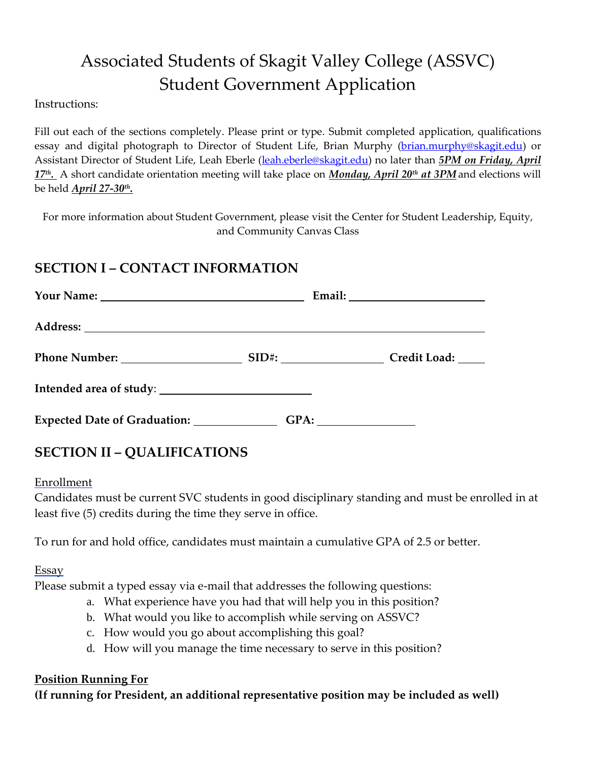# Associated Students of Skagit Valley College (ASSVC) Student Government Application

Instructions:

Fill out each of the sections completely. Please print or type. Submit completed application, qualifications essay and digital photograph to Director of Student Life, Brian Murphy [\(brian.murphy@skagit.edu\)](mailto:brian.murphy@skagit.edu) or Assistant Director of Student Life, Leah Eberle [\(leah.eberle@skagit.edu\)](mailto:leah.eberle@skagit.edu) no later than *5PM on Friday, April 17th .* A short candidate orientation meeting will take place on *Monday, April 20th at 3PM* and elections will be held *April 27-30th .* 

For more information about Student Government, please visit the Center for Student Leadership, Equity, and Community Canvas Class

# **SECTION I – CONTACT INFORMATION**

| Expected Date of Graduation: ______________ |  |
|---------------------------------------------|--|

# **SECTION II – QUALIFICATIONS**

#### Enrollment

Candidates must be current SVC students in good disciplinary standing and must be enrolled in at least five (5) credits during the time they serve in office.

To run for and hold office, candidates must maintain a cumulative GPA of 2.5 or better.

**Essay** 

Please submit a typed essay via e-mail that addresses the following questions:

- a. What experience have you had that will help you in this position?
- b. What would you like to accomplish while serving on ASSVC?
- c. How would you go about accomplishing this goal?
- d. How will you manage the time necessary to serve in this position?

#### **Position Running For**

**(If running for President, an additional representative position may be included as well)**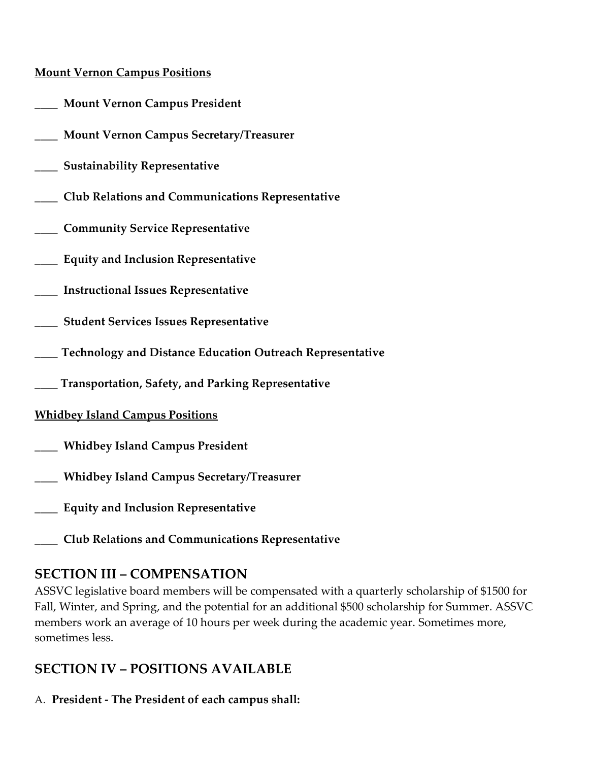#### **Mount Vernon Campus Positions**

- \_\_\_\_ **Mount Vernon Campus President**
- \_\_\_\_ **Mount Vernon Campus Secretary/Treasurer**
- \_\_\_\_ **Sustainability Representative**
- \_\_\_\_ **Club Relations and Communications Representative**
- \_\_\_\_ **Community Service Representative**
- \_\_\_\_ **Equity and Inclusion Representative**
- \_\_\_\_ **Instructional Issues Representative**
- \_\_\_\_ **Student Services Issues Representative**
- \_\_\_\_ **Technology and Distance Education Outreach Representative**
- **\_\_\_\_ Transportation, Safety, and Parking Representative**

#### **Whidbey Island Campus Positions**

- \_\_\_\_ **Whidbey Island Campus President**
- \_\_\_\_ **Whidbey Island Campus Secretary/Treasurer**
- \_\_\_\_ **Equity and Inclusion Representative**
- \_\_\_\_ **Club Relations and Communications Representative**

# **SECTION III – COMPENSATION**

ASSVC legislative board members will be compensated with a quarterly scholarship of \$1500 for Fall, Winter, and Spring, and the potential for an additional \$500 scholarship for Summer. ASSVC members work an average of 10 hours per week during the academic year. Sometimes more, sometimes less.

# **SECTION IV – POSITIONS AVAILABLE**

A. **President - The President of each campus shall:**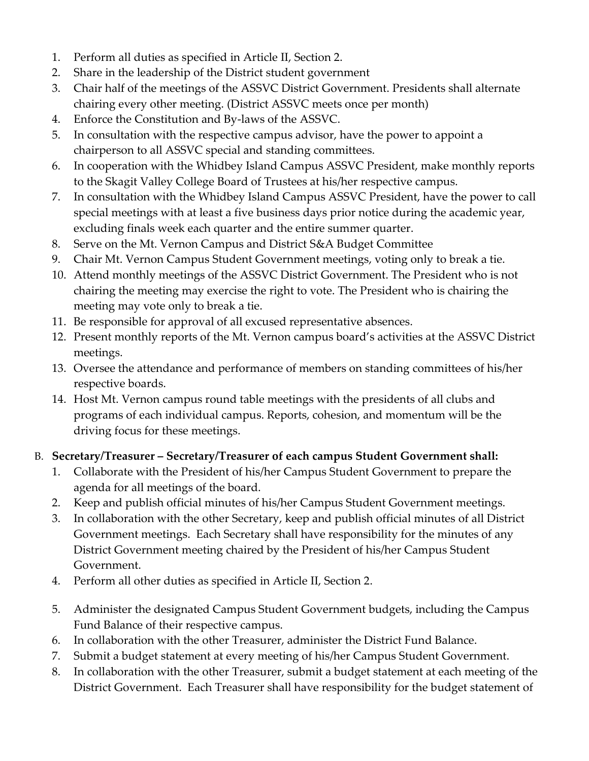- 1. Perform all duties as specified in Article II, Section 2.
- 2. Share in the leadership of the District student government
- 3. Chair half of the meetings of the ASSVC District Government. Presidents shall alternate chairing every other meeting. (District ASSVC meets once per month)
- 4. Enforce the Constitution and By-laws of the ASSVC.
- 5. In consultation with the respective campus advisor, have the power to appoint a chairperson to all ASSVC special and standing committees.
- 6. In cooperation with the Whidbey Island Campus ASSVC President, make monthly reports to the Skagit Valley College Board of Trustees at his/her respective campus.
- 7. In consultation with the Whidbey Island Campus ASSVC President, have the power to call special meetings with at least a five business days prior notice during the academic year, excluding finals week each quarter and the entire summer quarter.
- 8. Serve on the Mt. Vernon Campus and District S&A Budget Committee
- 9. Chair Mt. Vernon Campus Student Government meetings, voting only to break a tie.
- 10. Attend monthly meetings of the ASSVC District Government. The President who is not chairing the meeting may exercise the right to vote. The President who is chairing the meeting may vote only to break a tie.
- 11. Be responsible for approval of all excused representative absences.
- 12. Present monthly reports of the Mt. Vernon campus board's activities at the ASSVC District meetings.
- 13. Oversee the attendance and performance of members on standing committees of his/her respective boards.
- 14. Host Mt. Vernon campus round table meetings with the presidents of all clubs and programs of each individual campus. Reports, cohesion, and momentum will be the driving focus for these meetings.

#### B. **Secretary/Treasurer – Secretary/Treasurer of each campus Student Government shall:**

- 1. Collaborate with the President of his/her Campus Student Government to prepare the agenda for all meetings of the board.
- 2. Keep and publish official minutes of his/her Campus Student Government meetings.
- 3. In collaboration with the other Secretary, keep and publish official minutes of all District Government meetings. Each Secretary shall have responsibility for the minutes of any District Government meeting chaired by the President of his/her Campus Student Government.
- 4. Perform all other duties as specified in Article II, Section 2.
- 5. Administer the designated Campus Student Government budgets, including the Campus Fund Balance of their respective campus.
- 6. In collaboration with the other Treasurer, administer the District Fund Balance.
- 7. Submit a budget statement at every meeting of his/her Campus Student Government.
- 8. In collaboration with the other Treasurer, submit a budget statement at each meeting of the District Government. Each Treasurer shall have responsibility for the budget statement of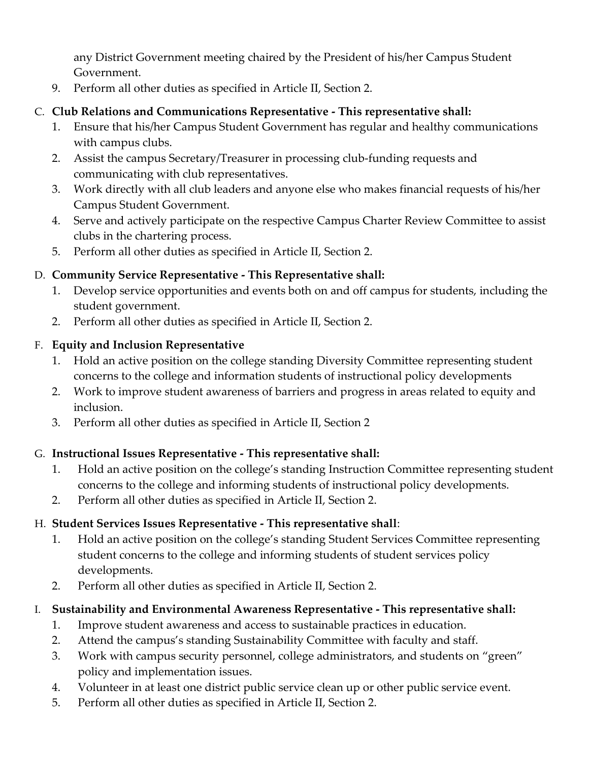any District Government meeting chaired by the President of his/her Campus Student Government.

9. Perform all other duties as specified in Article II, Section 2.

#### C. **Club Relations and Communications Representative - This representative shall:**

- 1. Ensure that his/her Campus Student Government has regular and healthy communications with campus clubs.
- 2. Assist the campus Secretary/Treasurer in processing club-funding requests and communicating with club representatives.
- 3. Work directly with all club leaders and anyone else who makes financial requests of his/her Campus Student Government.
- 4. Serve and actively participate on the respective Campus Charter Review Committee to assist clubs in the chartering process.
- 5. Perform all other duties as specified in Article II, Section 2.

#### D. **Community Service Representative - This Representative shall:**

- 1. Develop service opportunities and events both on and off campus for students, including the student government.
- 2. Perform all other duties as specified in Article II, Section 2.

#### F. **Equity and Inclusion Representative**

- 1. Hold an active position on the college standing Diversity Committee representing student concerns to the college and information students of instructional policy developments
- 2. Work to improve student awareness of barriers and progress in areas related to equity and inclusion.
- 3. Perform all other duties as specified in Article II, Section 2

# G. **Instructional Issues Representative - This representative shall:**

- 1. Hold an active position on the college's standing Instruction Committee representing student concerns to the college and informing students of instructional policy developments.
- 2. Perform all other duties as specified in Article II, Section 2.

# H. **Student Services Issues Representative - This representative shall**:

- 1. Hold an active position on the college's standing Student Services Committee representing student concerns to the college and informing students of student services policy developments.
- 2. Perform all other duties as specified in Article II, Section 2.

# I. **Sustainability and Environmental Awareness Representative - This representative shall:**

- 1. Improve student awareness and access to sustainable practices in education.
- 2. Attend the campus's standing Sustainability Committee with faculty and staff.
- 3. Work with campus security personnel, college administrators, and students on "green" policy and implementation issues.
- 4. Volunteer in at least one district public service clean up or other public service event.
- 5. Perform all other duties as specified in Article II, Section 2.